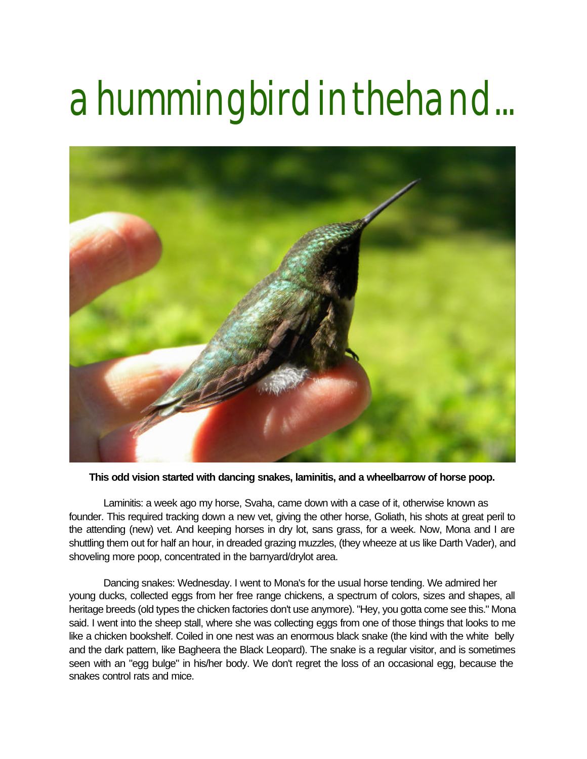## a hummingbird in the hand...



**This odd vision started with dancing snakes, laminitis, and a wheelbarrow of horse poop.**

 Laminitis: a week ago my horse, Svaha, came down with a case of it, otherwise known as founder. This required tracking down a new vet, giving the other horse, Goliath, his shots at great peril to the attending (new) vet. And keeping horses in dry lot, sans grass, for a week. Now, Mona and I are shuttling them out for half an hour, in dreaded grazing muzzles, (they wheeze at us like Darth Vader), and shoveling more poop, concentrated in the barnyard/drylot area.

 Dancing snakes: Wednesday. I went to Mona's for the usual horse tending. We admired her young ducks, collected eggs from her free range chickens, a spectrum of colors, sizes and shapes, all heritage breeds (old types the chicken factories don't use anymore). "Hey, you gotta come see this." Mona said. I went into the sheep stall, where she was collecting eggs from one of those things that looks to me like a chicken bookshelf. Coiled in one nest was an enormous black snake (the kind with the white belly and the dark pattern, like Bagheera the Black Leopard). The snake is a regular visitor, and is sometimes seen with an "egg bulge" in his/her body. We don't regret the loss of an occasional egg, because the snakes control rats and mice.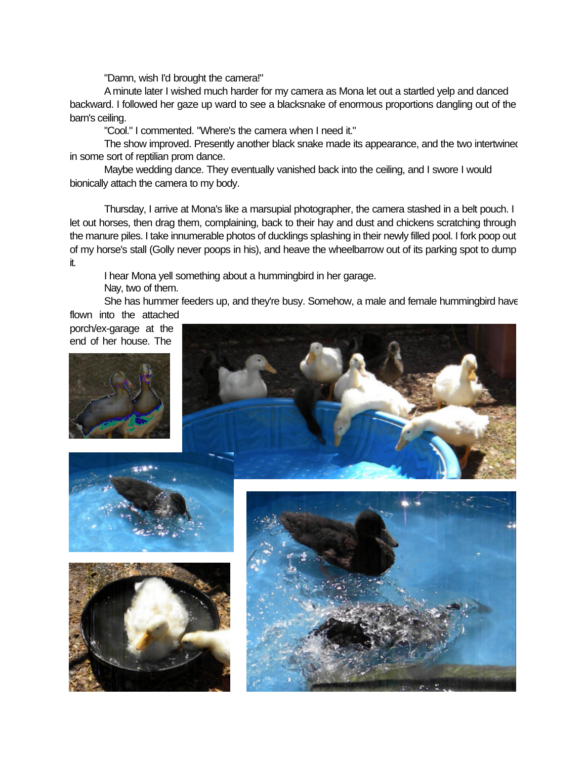"Damn, wish I'd brought the camera!"

 A minute later I wished much harder for my camera as Mona let out a startled yelp and danced backward. I followed her gaze up ward to see a blacksnake of enormous proportions dangling out of the barn's ceiling.

"Cool." I commented. "Where's the camera when I need it."

The show improved. Presently another black snake made its appearance, and the two intertwined in some sort of reptilian prom dance.

 Maybe wedding dance. They eventually vanished back into the ceiling, and I swore I would bionically attach the camera to my body.

 Thursday, I arrive at Mona's like a marsupial photographer, the camera stashed in a belt pouch. I let out horses, then drag them, complaining, back to their hay and dust and chickens scratching through the manure piles. I take innumerable photos of ducklings splashing in their newly filled pool. I fork poop out of my horse's stall (Golly never poops in his), and heave the wheelbarrow out of its parking spot to dump it.

I hear Mona yell something about a hummingbird in her garage.

Nay, two of them.

 She has hummer feeders up, and they're busy. Somehow, a male and female hummingbird have flown into the attached

porch/ex-garage at the end of her house. The









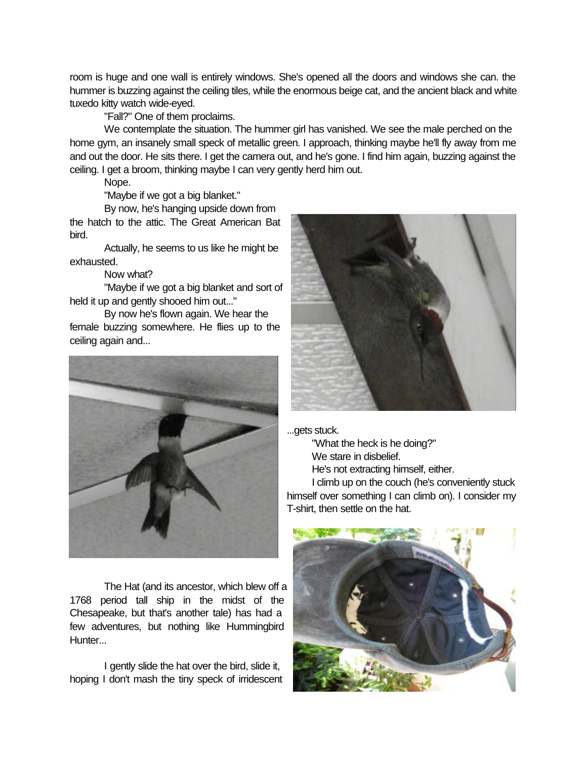room is huge and one wall is entirely windows. She's opened all the doors and windows she can. the hummer is buzzing against the ceiling tiles, while the enormous beige cat, and the ancient black and white tuxedo kitty watch wide-eyed.

"Fall?" One of them proclaims.

 We contemplate the situation. The hummer girl has vanished. We see the male perched on the home gym, an insanely small speck of metallic green. I approach, thinking maybe he'll fly away from me and out the door. He sits there. I get the camera out, and he's gone. I find him again, buzzing against the ceiling. I get a broom, thinking maybe I can very gently herd him out.

Nope.

"Maybe if we got a big blanket."

 By now, he's hanging upside down from the hatch to the attic. The Great American Bat bird.

 Actually, he seems to us like he might be exhausted.

Now what?

 "Maybe if we got a big blanket and sort of held it up and gently shooed him out..."

 By now he's flown again. We hear the female buzzing somewhere. He flies up to the ceiling again and...



 The Hat (and its ancestor, which blew off a 1768 period tall ship in the midst of the Chesapeake, but that's another tale) has had a few adventures, but nothing like Hummingbird Hunter...

 I gently slide the hat over the bird, slide it, hoping I don't mash the tiny speck of irridescent



...gets stuck.

 "What the heck is he doing?" We stare in disbelief.

He's not extracting himself, either.

 I climb up on the couch (he's conveniently stuck himself over something I can climb on). I consider my T-shirt, then settle on the hat.

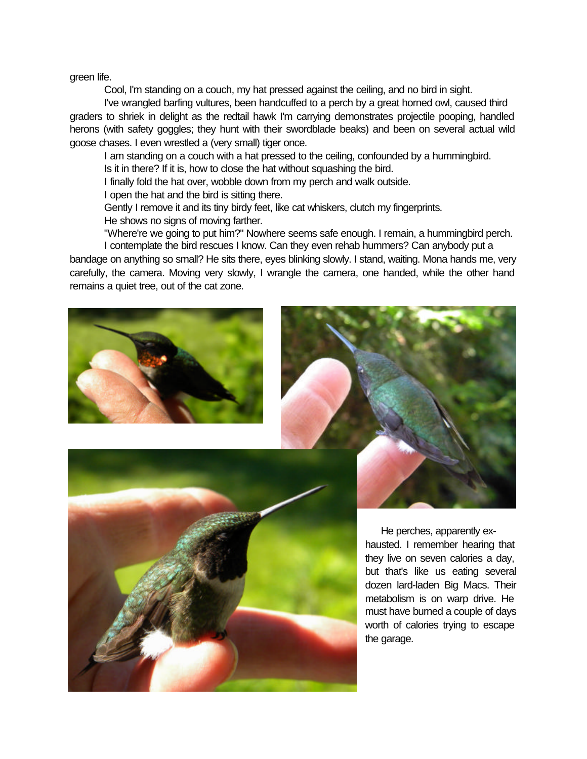green life.

Cool, I'm standing on a couch, my hat pressed against the ceiling, and no bird in sight.

 I've wrangled barfing vultures, been handcuffed to a perch by a great horned owl, caused third graders to shriek in delight as the redtail hawk I'm carrying demonstrates projectile pooping, handled herons (with safety goggles; they hunt with their swordblade beaks) and been on several actual wild goose chases. I even wrestled a (very small) tiger once.

 I am standing on a couch with a hat pressed to the ceiling, confounded by a hummingbird. Is it in there? If it is, how to close the hat without squashing the bird.

I finally fold the hat over, wobble down from my perch and walk outside.

I open the hat and the bird is sitting there.

Gently I remove it and its tiny birdy feet, like cat whiskers, clutch my fingerprints.

He shows no signs of moving farther.

 "Where're we going to put him?" Nowhere seems safe enough. I remain, a hummingbird perch. I contemplate the bird rescues I know. Can they even rehab hummers? Can anybody put a bandage on anything so small? He sits there, eyes blinking slowly. I stand, waiting. Mona hands me, very

carefully, the camera. Moving very slowly, I wrangle the camera, one handed, while the other hand remains a quiet tree, out of the cat zone.





 He perches, apparently exhausted. I remember hearing that they live on seven calories a day, but that's like us eating several dozen lard-laden Big Macs. Their metabolism is on warp drive. He must have burned a couple of days worth of calories trying to escape the garage.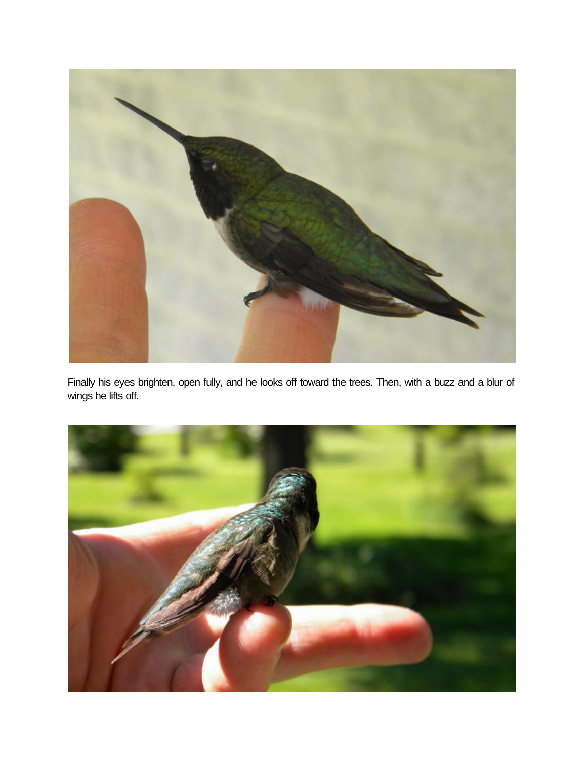

Finally his eyes brighten, open fully, and he looks off toward the trees. Then, with a buzz and a blur of wings he lifts off.